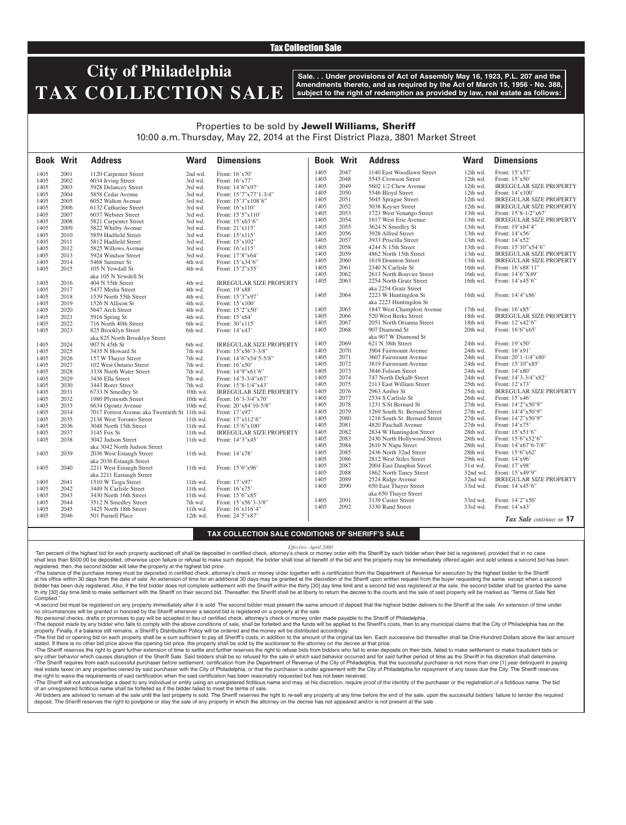## Tax Collection Sale

# **City of Philadelphia TAX COLLECTION SALE**

**Sale. . . Under provisions of Act of Assembly May 16, 1923, P.L. 207 and the Amendments thereto, and as required by the Act of March 15, 1956 - No. 388, subject to the right of redemption as provided by law, real estate as follows:**

## Properties to be sold by Jewell Williams, Sheriff 10:00 a.m. Thursday, May 22, 2014 at the First District Plaza, 3801 Market Street

| <b>Book Writ</b> |      | <b>Address</b>                                | <b>Ward</b> | <b>Dimensions</b>              | <b>Book Writ</b> |      | <b>Address</b>                | <b>Ward</b> | <b>Dimensions</b>               |
|------------------|------|-----------------------------------------------|-------------|--------------------------------|------------------|------|-------------------------------|-------------|---------------------------------|
| 1405             | 2001 | 1120 Carpenter Street                         | 2nd wd.     | Front: 16'x70'                 | 1405             | 2047 | 1140 East Woodlawn Street     | 12th wd.    | Front: $15'x57'$                |
| 1405             | 2002 | 6034 Irving Street                            | 3rd wd.     | Front: 16'x77'                 | 1405             | 2048 | 5545 Crowson Street           | 12th wd.    | Front: $15'x50'$                |
| 1405             | 2003 | 5928 Delancey Street                          | 3rd wd.     | Front: 14'6"x97'               | 1405             | 2049 | 5602 1/2 Chew Avenue          | 12th wd.    | <b>IRREGULAR SIZE PROPERTY</b>  |
| 1405             | 2004 | 5858 Cedar Avenue                             | 3rd wd.     | Front: 15'7"x77'1-3/4"         | 1405             | 2050 | 5546 Bloyd Street             | $12th$ wd.  | Front: $14'x100'$               |
| 1405             | 2005 | 6052 Walton Avenue                            | 3rd wd.     | Front: 15'3"x108'6"            | 1405             | 2051 | 5645 Sprague Street           | 12th wd.    | <b>IRREGULAR SIZE PROPERTY</b>  |
| 1405             | 2006 | 6132 Catharine Street                         | 3rd wd.     | Front: 16'x110'                | 1405             | 2052 | 5038 Keyser Street            | 12th wd.    | <b>IRREGULAR SIZE PROPERTY</b>  |
| 1405             | 2007 | 6037 Webster Street                           | 3rd wd.     | Front: 15'5"x110"              | 1405             | 2053 | 1723 West Venango Street      | 13th wd.    | Front: 15'8-1/2"x67'            |
| 1405             | 2008 | 5821 Carpenter Street                         | 3rd wd.     | Front: 15'x63'6"               | 1405             | 2054 | 1617 West Erie Avenue         | 13th wd.    | <b>IRREGULAR SIZE PROPERTY</b>  |
| 1405             | 2009 | 5822 Whitby Avenue                            | 3rd wd.     | Front: 21'x115'                | 1405             | 2055 | 3624 N Smedley St             | 13th wd.    | Front: 19'x84'4"                |
| 1405             | 2010 | 5859 Hadfield Street                          | 3rd wd.     | Front: 15'x115'                | 1405             | 2056 | 3928 Alfred Street            | 13th wd.    | Front: $14'x56'$                |
| 1405             | 2011 | 5812 Hadfield Street                          | 3rd wd.     | Front: 15'x102'                | 1405             | 2057 | 3933 Priscilla Street         | 13th wd.    | Front: 14'x52'                  |
| 1405             | 2012 | 5825 Willows Avenue                           | 3rd wd.     | Front: 16'x115'                | 1405             | 2058 | 4244 N 15th Street            | 13th wd.    | Front: 15'10"x54'6"             |
| 1405             | 2013 | 5924 Windsor Street                           | 3rd wd.     | Front: 17'8"x64'               | 1405             | 2059 | 4862 North 15th Street        | 13th wd.    | <b>IRREGULAR SIZE PROPERTY</b>  |
| 1405             | 2014 | 5468 Summer St                                | 4th wd.     | Front: 15'x34'6"               | 1405             | 2060 | 1619 Dounton Street           | 13th wd.    | <b>IRREGULAR SIZE PROPERTY</b>  |
| 1405             | 2015 | 105 N Yewdall St                              | 4th wd.     | Front: 15'2"x55'               | 1405             | 2061 | 2340 N Carlisle St            | 16th wd.    | Front: 16'x88'11"               |
|                  |      | aka 105 N Yewdell St                          |             |                                | 1405             | 2062 | 2613 North Bouvier Street     | 16th wd.    | Front: 14'6"X49"                |
| 1405             | 2016 | 404 N 55th Street                             | 4th wd.     | <b>IRREGULAR SIZE PROPERTY</b> | 1405             | 2063 | 2254 North Gratz Street       | 16th wd.    | Front: 14'x45'6"                |
| 1405             | 2017 | 5437 Media Street                             | 4th wd.     | Front: 19'x88'                 |                  |      | aka 2254 Gratz Street         |             |                                 |
| 1405             | 2018 | 1539 North 55th Street                        | 4th wd.     | Front: 15'3"x97'               | 1405             | 2064 | 2223 W Huntingdon St          | $16th$ wd.  | Front: 14'4"x86'                |
| 1405             | 2019 | 1526 N Allison St                             | 4th wd.     | Front: 15'x100'                |                  |      | aka 2223 Huntingdon St        |             |                                 |
| 1405             | 2020 | 5647 Arch Street                              | 4th wd.     | Front: 15'2"x50'               | 1405             | 2065 | 1847 West Champlost Avenue    | 17th wd.    | Front: $16'x85'$                |
| 1405             | 2021 | 5916 Spring St                                | 4th wd.     | Front: 15'x64'                 | 1405             | 2066 | 520 West Berks Street         | 18th wd.    | <b>IRREGULAR SIZE PROPERTY</b>  |
| 1405             | 2022 | 716 North 40th Street                         | 6th wd.     | Front: 30'x115'                | 1405             | 2067 | 2051 North Orianna Street     | 18th wd.    | Front: 12'x42'6"                |
| 1405             | 2023 | 825 Brooklyn Street                           | 6th wd.     | Front: 14'x43'                 | 1405             | 2068 | 907 Diamond St                | 20th wd.    | Front: 16'6"x65'                |
|                  |      | aka 825 North Brooklyn Street                 |             |                                |                  |      | aka 907 W Diamond St          |             |                                 |
| 1405             | 2024 | 907 N 45th St                                 | 6th wd.     | <b>IRREGULAR SIZE PROPERTY</b> | 1405             | 2069 | 621 N 38th Street             | 24th wd.    | Front: $19'x50'$                |
| 1405             | 2025 | 3435 N Howard St                              | 7th wd.     | Front: 15'x56'3-3/8"           | 1405             | 2070 | 3904 Fairmount Avenue         | 24th wd.    | Front: $16'x91'$                |
| 1405             | 2026 | 157 W Thayer Street                           | 7th wd.     | Front: 14'6"x54'5-5/8"         | 1405             | 2071 | 3607 Fairmount Avenue         | 24th wd.    | Front: $20'1 - 1/4''x80'$       |
| 1405             | 2027 | 102 West Ontario Street                       | 7th wd.     | Front: 16'x50'                 | 1405             | 2072 | 3819 Fairmount Avenue         | 24th wd.    | Front: 15'10"x85'               |
| 1405             | 2028 | 3338 North Water Street                       | 7th wd.     | Front: 14'9"x61'6"             | 1405             | 2073 | 3846 Folsom Street            | 24th wd.    | Front: 14'x80'                  |
| 1405             | 2029 | 3436 Ella Street                              | 7th wd.     | Front: 14'5-3/4"x67"           | 1405             | 2074 | 747 North Dekalb Street       | 24th wd.    | Front: 14'3-3/4"x82'            |
| 1405             | 2030 | 3443 Rorer Street                             | 7th wd.     | Front: $15'8 - 1/4''x43'$      | 1405             | 2075 | 2113 East William Street      | 25th wd.    | Front: $12'x73'$                |
| 1405             | 2031 | 6733 N Smedley St                             | 10th wd.    | <b>IRREGULAR SIZE PROPERTY</b> | 1405             | 2076 | 2963 Amber St                 | 25th wd.    | <b>IRREGULAR SIZE PROPERTY</b>  |
| 1405             | 2032 | 1980 Plymouth Street                          | 10th wd.    | Front: $16'3-3/4''x70'$        | 1405             | 2077 | 2534 S Carlisle St            | 26th wd.    | Front: $15'x46'$                |
| 1405             | 2033 | 6634 Ogontz Avenue                            | 10th wd.    | Front: 20'x84'10-5/8"          | 1405             | 2078 | 1231 S St Bernard St          | 27th wd.    | Front: 14'2"x50'9"              |
| 1405             | 2034 | 7017 Forrest Avenue aka Twentieth St 11th wd. |             | Front: 17'x97'                 | 1405             | 2079 | 1269 South St. Bernard Street | 27th wd.    | Front: 14'4"x50'9"              |
| 1405             | 2035 | 2138 West Toronto Street                      | 11th wd.    | Front: 17'x112'6"              | 1405             | 2080 | 1216 South St. Bernard Street | 27th wd.    | Front: 14'2"x50'9"              |
| 1405             | 2036 | 3048 North 15th Street                        | $11th$ wd.  | Front: 15'6"x100"              | 1405             | 2081 | 4820 Paschall Avenue          | 27th wd.    | Front: 14'x75'                  |
| 1405             | 2037 | 3145 Fox St                                   | 11th wd.    | <b>IRREGULAR SIZE PROPERTY</b> | 1405             | 2082 | 2834 W Huntingdon Street      | 28th wd.    | Front: $15^\circ x51^\circ 6$ " |
| 1405             | 2038 | 3042 Judson Street                            | 11th wd.    | Front: 14'3"x45'               | 1405             | 2083 | 2430 North Hollywood Street   | 28th wd.    | Front: 15'6"x52'6"              |
|                  |      | aka 3042 North Judson Street                  |             |                                | 1405             | 2084 | 2610 N Napa Street            | 28th wd.    | Front: $14'x67'6-7/8"$          |
| 1405             | 2039 | 2036 West Estaugh Street                      | 11th wd.    | Front: 14'x78'                 | 1405             | 2085 | 2436 North 32nd Street        | 28th wd.    | Front: 15'6"x62'                |
|                  |      | aka 2036 Estaugh Street                       |             |                                | 1405             | 2086 | 2812 West Stiles Street       | 29th wd.    | Front: $14'x96'$                |
| 1405             | 2040 | 2211 West Estaugh Street                      | 11th wd.    | Front: 15'6"x96'               | 1405             | 2087 | 2004 East Dauphin Street      | 31st wd.    | Front: 17'x98'                  |
|                  |      | aka 2211 Eastaugh Street                      |             |                                | 1405             | 2088 | 1862 North Taney Street       | 32nd wd.    | Front: 15'x49'9"                |
| 1405             | 2041 | 1510 W Tioga Street                           | $11th$ wd.  | Front: 17'x97'                 | 1405             | 2089 | 2524 Ridge Avenue             | 32nd wd.    | <b>IRREGULAR SIZE PROPERTY</b>  |
| 1405             | 2042 | 3449 N Carlisle Street                        | 11th wd.    | Front: 16'x75'                 | 1405             | 2090 | 650 East Thayer Street        | 33rd wd.    | Front: 14'x45'6"                |
| 1405             | 2043 | 3430 North 16th Street                        | 11th wd.    | Front: 15'6"x85'               |                  |      | aka 650 Thayer Street         |             |                                 |
| 1405             | 2044 | 3512 N Smedley Street                         | 7th wd.     | Front: 15'x56'3-3/8"           | 1405             | 2091 | 3139 Custer Street            | 33rd wd.    | Front: 14'2"x50'                |
| 1405             | 2045 | 3425 North 18th Street                        | 11th wd.    | Front: 16'x116'4"              | 1405             | 2092 | 3330 Rand Street              | 33rd wd.    | Front: 14'x43'                  |
| 1405             | 2046 | 501 Parnell Place                             | $12th$ wd.  | Front: 24'5"x87'               |                  |      |                               |             | <b>Tax Sale</b> continues on 17 |

### **TAX COLLECTION SALE CONDITIONS OF SHERIFF'S SALE**

#### *Effective: April 2000*

·Ten percent of the highest bid for each property auctioned off shall be deposited in certified check, attorney's check or money order with the Sheriff by each bidder when their bid is registered, provided that in no case shall less than \$500.00 be deposited, otherwise upon failure or refusal to make such deposit, the bidder shall lose all benefit of the bid and the property may be immediately offered again and sold unless a second bid has registered, then, the second bidder will take the property at the highest bid price.

•The balance of the purchase money must be deposited in certified check, attorney's check or money order together with a certification from the Department of Revenue for execution by the highest bidder to the Sheriff at his office within 30 days from the date of sale. An extension of time for an additional 30 days may be granted at the discretion of the Sheriff upon written request from the buyer requesting the same, except when a second bidder has been duly registered. Also, if the first bidder does not complete settlement with the Sheriff within the thirty [30] day time limit and a second bid was registered at the sale, the second bidder shall be granted th irty [30] day time limit to make settlement with the Sheriff on their second bid. Thereafter, the Sheriff shall be at liberty to return the decree to the courts and the sale of said property will be marked as "Terms of Complied.

•A second bid must be registered on any property immediately after it is sold. The second bidder must present the same amount of deposit that the highest bidder delivers to the Sheriff at the sale. An extension of time under no circumstances will be granted or honored by the Sheriff whenever a second bid is registered on a property at the sale.

·No personal checks, drafts or promises to pay will be accepted in lieu of certified check, attorney's check or money order made payable to the Sheriff of Philadelphia .

. The deposit made by any bidder who fails to comply with the above conditions of sale, shall be forteited and the funds will be applied to the Sheriff's costs, then to any municipal claims that the City of Philadelphia ha

property. Finally, if a balance still remains, a Sheriff's Distribution Policy will be ordered and the money will be distributed accordingly. The first bid or opening bid on each property shall be a sum sufficient to pay all Sheriff's costs, in addition to the amount of the original tax lien. Each successive bid thereafter shall be One Hundred Dollars above the

stated. If there is no other bid price above the opening bid price, the property shall be sold by the auctioneer to the attorney on the decree at that price.

·The Sheriff reserves the right to grant further extension of time to settle and further reserves the right to refuse bids from bidders who fail to enter deposits on their bids, failed to make settlement or make fraudulent any other behavior which causes disruption of the Sheriff Sale. Said bidders shall be so refused for the sale in which said behavior occurred and for said further period of time as the Sheriff in his discretion shall deter The Sheriff requires from each successful purchaser before settlement, certification from the Department of Revenue of the City of Philadelphia, that the successful purchaser is not more than one [1] year delinquent in pay real estate taxes on any properties owned by said purchaser with the City of Philadelphia, or that the purchaser is under agreement with the City of Philadelphia for repayment of any taxes due the City. The Sheriff reserve the right to waive the requirements of said certification when the said certification has been reasonably requested but has not been received.

. The Sheriff will not acknowledge a deed to any individual or entity using an unregistered fictitious name and may, at his discretion, require proof of the identity of the purchaser or the registration of a fictitious nam of an unregistered fictitious name shall be forfeited as if the bidder failed to meet the terms of sale.

All bidders are advised to remain at the sale until the last property is sold. The Sheriff reserves the right to re-sell any property at any time before the end of the sale, upon the successful bidders' failure to tender t deposit. The Sheriff reserves the right to postpone or stay the sale of any property in which the attorney on the decree has not appeared and/or is not present at the sale.